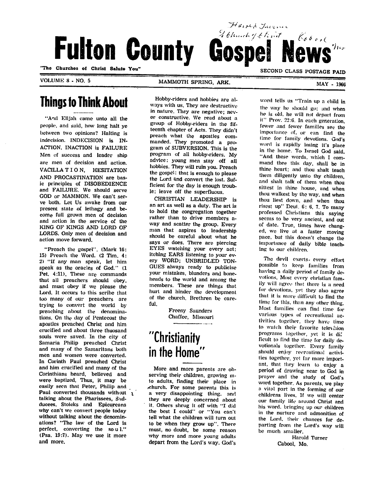Fulton County Gospel News

"The Churches of Christ Salute You"

VOLUME 8 - NO. 5

#### MAMMOTH SPRING, ARK.

MAY - 1966

### Things to Think About

"And Elijah came unto all the people, and said, how long halt ye between two opinions? Halting is indecision. INDECISION is IN ACTION, INACTION is FAILURE Men of success and leader ship are men of decision and action. VACILLA T I O N, HESITATION AND PROCASTINATION are bas ic principles of DISOBEDIENCE and FAILURE. We should serve GOD or MAMMON. We can't ser ve both. Let Us awake from our present stale of lethagy and be come full grown men of decision and action in the service of the KING OF KINGS AND LORD OF LORDS. Only men of decision and action move forward.

"Preach the gospel". (Mark 16: 15) Preach the Word. (2 Tim. 4: 2) "If any man speak, let him speak as the oracles of God." (1 Pet. 4:11). These are commands that all preachers should obey, and must obey if we please the Lord. It occurs to this scribe that too many of our preachers are trying to convert the world by preaching about the denomina tions. On tlie day of Pentecost the apostles preached Christ and him crucified and about tliree thuosand souls were saved. In the city of Samaria Philip preached Christ and many of the Samaritans both men and women were converted. In Corinth Paul preached Christ and him crucified and many of the Corinthians heard, believed and were baptized. Thus, it may be easily seen that Peter, Philip and Paul converted thousands without 1 talking about the Pharissees, Sadducees, Stoicks and Epicureans why can't we convert people today without talking about the denomin ations? "The law of the Lord is perfect, converting the so u 1." (Psa. 19:7). May we use it more and more.

Hobby-riders and hobbies are al ways with us. They are destructive in nature. They are negative; nev er constructive. We read about a group of Hobby-riders in the fif teenth chapter of Acts. They didn't preach what the apostles com manded. They promoted a pro gram of SUBVERSION. This is the program of all hobby-riders. My advice: young men stay off all hobbies. They will ruin you. Preach the gospel; that is enough to please the Lord and convert the lost. Suf ficient for the day is enough troub le; leave off the superfluous.

CHRISTIAN LEADERSHIP is an art as well as a duty. The art is to hold the congregation together rather than to drive members away and scatter the group. Every man that aspires to leadership should be careful about what he says or does. There are piercing EYES watching your every act; itching EARS listening to your ev ery WORD; UNBRIDLED TON GUES always ready to publicise your mistakes, blunders and boneheads to the world and among the members. These are things that hurt and hinder the development of the church. Brethren be care ful.

> Freeny Saunders Chaffee, Missouri

# "Christianity in the Home"

More and more parents are ob serving their children, growing into adults, finding their place in ,church. For some parents this is a very disappointing thing, and they are deeply concerned about it. Others shrug it off with "I did the best I could" or "You can't tell what the children will turn out to be when they grow up". There must, no doubt, be some reason why more and more young adults depart from the Lord's way. God's

word tells us "Train up a child in the way he should go; and when he is old, he will not depart from it" Prov. 22:6. In each generation, fewer and fewer families see the importance of. or can find the lime for family devotions. God's word is rapidly losing it's place in the home. To Israel God said, "And these words, which I command thee this day. shall be in thine heart; and thou shalt teach them diligently unlo thy children, and shall talk of them when thou siltest in thine house, and when thou walkest by the way, and when thou Iiest down, and when thou risest up" Deul. 6: 6, 7. To many professed Christians this saying seems to be very ancient, and out of date. True, times have chang ed, we live at a faster moving pace, but this doesn't change the importance of daily bible teach ing to our children.

SECOND CLASS POSTAGE PAID

I Church of the first \_ \_ Cobook

Harold Junion

The devil exerts- every effort possible to keep families from having a daily period of family de votions. Most every christian family will agree that there is a need for devotions, yet they also agree that it is more difficult to find the time for this, than any other thing. Most families can find time for various types of recreational ac tivities together, they have time to watch their favorite television programs together, yet it is dir ficult to find the time for daily devotionals together. Every family should enjoy recreational activi ties together, yet far more import ant, that they learn to enjoy a period of drawing near to God in prayer and the study of God's word together. As parents, we play a vital part in the forming of our childrens lives. If we will center our family life around Christ and his word, bringing up our children in the nurture and admonition of the Lord, their chances for de parting from the Lord's way will be much smaller.

Harold Turner Cabool, Mo.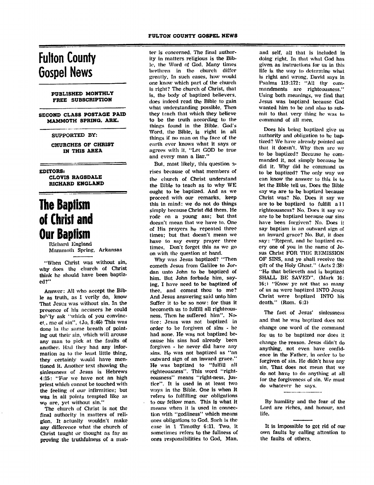### Fulton County Gospel News

#### PUBLISHED MONTHLY FREE SUBSCRIPTION

SECOND CLASS POSTAGE PAID MAMMOTH SPRING. ARK.

#### SUPPORTED BY:

CHURCHES OF CHRIST IN THIS AREA

EDITORSi

CLOVIS RAGSDALE RICHARD ENGLAND

### The Baptism of Christ and Our Baptism

Richard England Mammoth Spring, Arkansas

"When Christ was without sin, why does the church of Christ think he should have been baptiz ed?"

Answer: All who accept the Bib le as truth, as I verily do, know That Jesus was without sin. In the presence of his accusers he could bo''"ly ask "which of you convinc et, me of sin". (Jo. 8:46) This was done in the same breath of point ing out their sin, which will arouse any man to pick at the faults of another. Had they had any infor mation as to the least little thing, they certainly would have men tioned it. Another text showing the sinlessness of Jesus is Hebrews 4:15: "For we have not an high priest which cannot be touched with the feeling of our infirmities; but was in all points tempted like as we are, yet without sin."

The church of Christ is not the final authority in matters of reli gion. It actually wouldn't make any difference what the church of Christ taught or thought as far as proving the truthfulness of a mat ter is concerned. The final author ity in matters religious is the Bib le, the Word of God. Many times brethren in the church differ greatly. In such cases, how would one know which part of the church is right? The church of Christ, that is, the body of baptized believers, does indeed read the Bible to gain what understanding possible. Then they tench that which they believe to be the truth according to the things found in the Bible. God's Word, the Bible, is right in all things if no man on the face of the earth ever knows what it says or agrees with it. "Let GOD be true and every man a liar."

But, most likely, this question arises because of what members of the church of Christ understand the Bible to teach as to why WE ought to be baptized. And as we proceed with our remarks, keep this in mind: we do not do things simply because Christ did them. He rode on a young ass; but that doesn't mean that we have to. One of His prayers he repeated three times; but that doesn't mean we have to say every prayer three times. Don't forget this as we go on with the question at hand.

Why was Jesus baptized? "Then cometh Jesus from Galilee to Jor dan unto John to be baptized of him. But John forbade him, say ing, I have need to be baptized of thee, and comest thou to me? And Jesus answering said unto him Suffer it to be so now: for thus it becometh us to fulfill all righteous ness. Then he suffered him". No tice: Jesus was not baptized in order to be forgiven of sins - he had none. He was not baptized be cause his sins had already been forgiven - he never did have any sins. He was not baptized as "an outward sign of an inward grace." He was baptized to "fulfill all righteousness". This word "right eousness" means "right-ness, jus tice". It is used in at least two ways in the Bible. One is when it refers to fulfilling our obligations to our fellow man. This is what it means when it is used in connec tion with "godliness" which menns ones obligations to God. Such is the case in 1 Timothy 6:11. Two, it sometimes refers to the fullness of ones responsibilities to God, Man.

and self, all that is included in doing right. In that what God has given as instructions for us in this life is the way to determine what is right and wrong, David says in Psalms 119:172: "All thy com mandments are righteousness." Using both meanings, we find that Jesus was baptized because God wanted him to be and also to sub mit to that very thing he was to command of all men.

Does his being baptized give us authority and obligation to be bap tized? We have already pointed out that it doesn't. Why then are we to be baptized? Because he com manded it, not simply because he did it. Why did he command us to be baptized? The only way we can know the answer to this is to let the Bible tell us. Does the Bible say we are to be baptized because Christ was? No. Does it say we are to be baptized to fulfill a 11 righteousness? No. Does it say we are to be baptized because our sins have been forgiven? No. Does it say baptism is an outward sign of an inward grace? No. But, it does say: "Repent, and he baptized ev ery one of you in the name of Je sus Christ FOR THE REMISSION OF SINS, and ye shall receive the gift of the Holy Ghost." (Acts 2:38) "He that believcth and is baptized SHALL BE SAVED". (Mark 16: 16;) "Know ye not that so many of us as were baptized INTO Jesus Christ were baptized INTO his death." (Rom. 6:3)

The fact of Jesus' sinlessness and that he was baptized does not change one word of the command for us to be baptized nor does it change the reason. Jesus didn't do anything, not even have confid ence in the Father, in order to be forgiven of sin. He didn't have any sin. That does not mean that we do not have to do anything at all for the forgiveness of sin. We must do whatever he says.

By humility and the fear of the Lord are riches, and honour, and life.

It is impossible to get rid of our own faults by calling attention to the faults of others.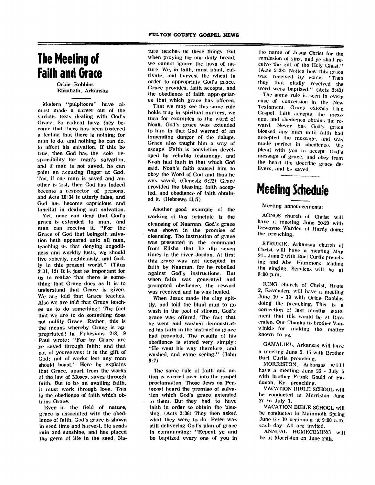### The Meeting of Faith and Grace

Orbie Robbins Elizabeth, Arkansas

Modern "pulpiteers" have al most made a career out of the various texts dealing with God's Grace. So radical have they be come that there has been fostered a feeling that there is nothing for man to do, and nothing he can do, to affect his salvation. If this be true, then God has the sole re sponsibility for man's salvation, and if man is not saved, he can point an accusing finger at God. Too, if one man is saved and an other is lost, then God has indeed become a respector of persons, and Acts 10:34 is utterly false, and God has become capricious and fanciful in dealing out salvation.

Yet, none can deny that God's grace is extended to man, and man can receive it. "For the Grace of God that beingcth salva tion hath appeared unto all men, teaching us that denying ungodli ness and worldly lusts, We should live soberly, righteously, and God ly in this present world." (Titus 2:11. 12) It is just as important for us to realize that there is some thing that Grace does as it is to understand that Grace is given. We are told that Grace teaches. Also we are told that Grace teach es us to do something! The fact that we are to do something does not nullify Grace. Rather, this is the means whereby Grace is ap propriated! In Ephesians 2:8. 9 Paul wrote: "For by Grace are ye saved through faith: and that not of yourselves: it is the gift of God; not of works lest any man should boast." Here he explains that Grace, apart from the works of the law of Moses, saves through faith. But to be an availing faith, it must work through love. This is the obedience of faith which ob tains Grace.

Even in the field of nature, grace is associated with the obed ience of faith. God's grace is shown in seed time and harvest. He sends rain and sunshine, and has placed the germ of life in the seed. Na

ture teaches us these things. But when praying for our daily bread, we cannot ignore the laws of nnture. We, in faith, must plant, cul tivate, and harvest the wheat in order to appropriate God's grace. Grace provides, faith accepts, and the obedience of faith appropriat es that which grace has offered.

That we may see this same rule holds true in spiritual matters, we turn for examples to the word of Noah. God's grace was extended to him in that God warned of an impending danger of the deluge. Grace also taught him a way of escape. Faith is conviction devel oped by reliable testamony, and Noah had faith in that which God said. Noah's faith caused him to obey the Word of God and thus he was saved. (Genesis 6:22) Grace provided the blessing, faith accep ted, and obedience of faith obtain ed it. (Hebrews 11:7)

Another good example of the working of this principle is the cleansing of Naaman. God's grace was shown in the promise of cleansing. The instruction of grace was presented in the command from Elisha that he dip seven times in the river Jordan. At first this grace was not accepted in faith by Naaman, for he rebelled against God's instructions. But when faith was generated and prompted obedience, the reward was received and he was healed.

When Jesus made the clay spittly, and told the blind man to go wash in the pool of siloam, God's grace was offered. The fact that he went and washed demonstrat ed his faith in the instruction grace had provided. The results of his obedience is stated very simply: "He went his way therefore, and washed, and came seeing." (John 9:7)

The same rule of faith and ac tion is carried over into the gospel proclamation. Those Jews on Pen tecost heard the promise of salva tion which God's grace extended to them. But they had to have faith in order to obtain the bles sing. (Acts 2:36) They then asked what they were to do. Peter was still delivering God's plan of grace in commanding: "Repent ye and be baptized every one of you in

the name of Jesus Christ for the remission of sins, and ye shall re ceive the gift of the Holy Ghost." (Acts 2:38) Notice how this grace was received by some: "Then they that gladly received the word were baptized." (Acts 2:42)

The same rule is seen in every case of conversion in the New Testament. Grace extends the Gospel, faith accepts the mess age, and obedience obtains the re ward. Never has God's grace blessed any man until faith had accepted the message, and was made perfect in obedience. We plead with you to accept God's message of grace, and obey from the heart the doctrine grace de livers, and be saved.

# Meeting Schedule

Meeting announcements:

AGNOS church of Christ will have a meeting June 20-29 with Dewayne Warden of Hardy doing the preaching.

STRUKIK, Arkansas church of Christ will have a meeting Mny 24 - June 2 with Burl Curtis preaching and Abe Hammons leading the singing. Services will be at 8:00 p.m.

RING church of Christ. Route 2, Ravenden, will have a meeting June 10 - 19 with Orbie Robbins doing the preaching. This is a correction of last months state ment that this would be at Ravenden. Our Thanks to brother Vanwinkle for making the matter known to us.

GAMALIEL, Arkansas will have a meeting June 5- 15 with Brother Burl Curlis preaching.

MORRISTON, Arkansas will have a meeting June 26 - July 5 with brother Frank Gould of Paducah. Ky. preaching.

VACATION BIBLE SCHOOL will be conducted at Morriston June 27 to July 1.

VACATION BIBLE SCHOOL will be conducted in Mammoth Spring June  $6 - 10$  beginning at 9:00 a.m. L.-.ch clay. All are invited.

ANNUAL HOMECOMING will be at Morriston on June 25th.